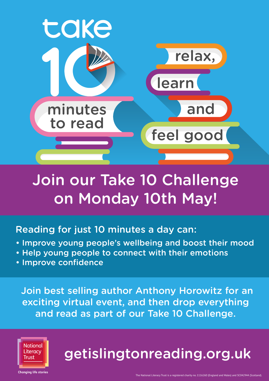

## Join our Take 10 Challenge on Monday 10th May!

## Reading for just 10 minutes a day can:

- Improve young people's wellbeing and boost their mood
- Help young people to connect with their emotions
- Improve confidence

 Join best selling author Anthony Horowitz for an exciting virtual event, and then drop everything and read as part of our Take 10 Challenge.



# getislingtonreading.org.uk